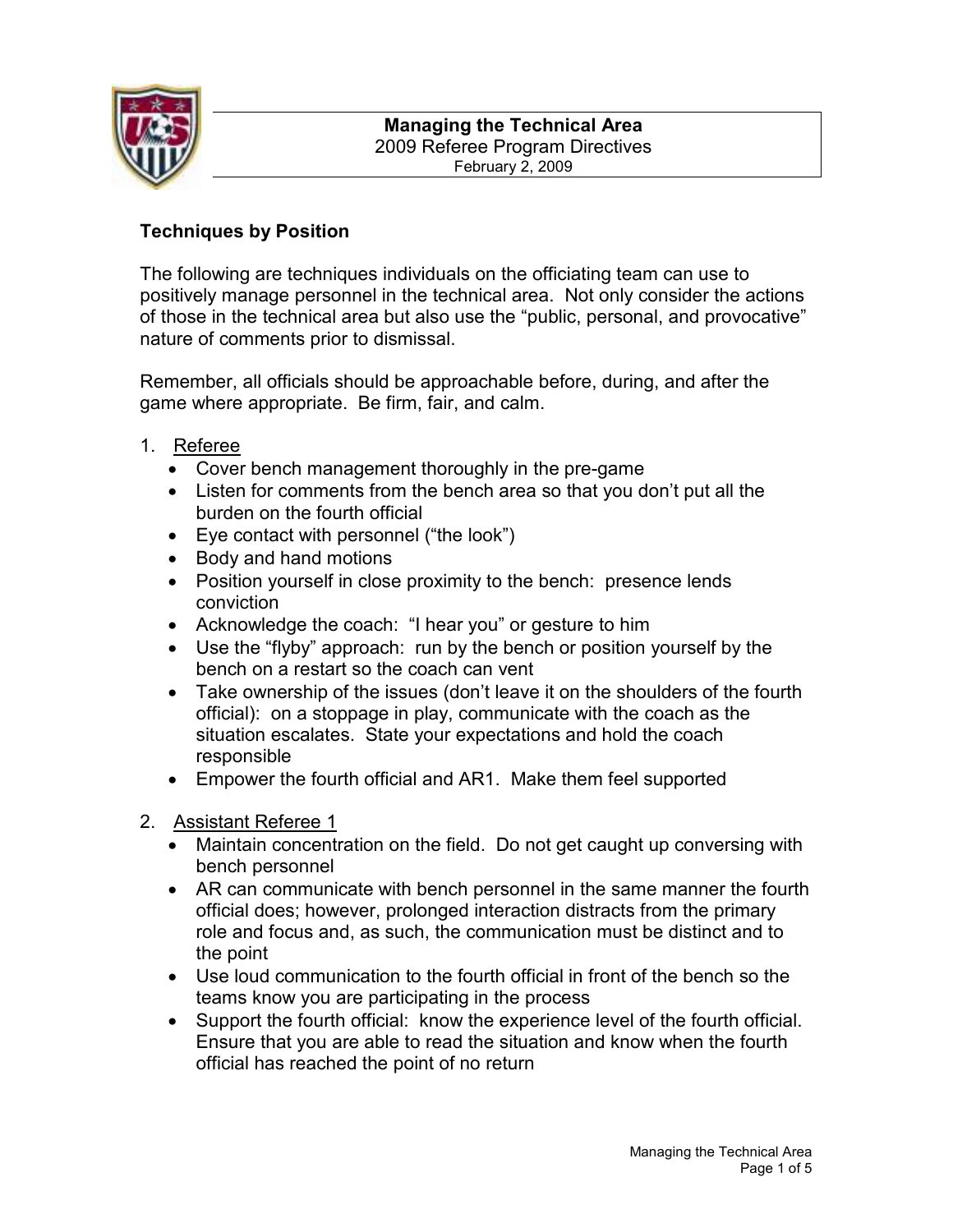

# Techniques by Position

The following are techniques individuals on the officiating team can use to positively manage personnel in the technical area. Not only consider the actions of those in the technical area but also use the "public, personal, and provocative" nature of comments prior to dismissal.

Remember, all officials should be approachable before, during, and after the game where appropriate. Be firm, fair, and calm.

- 1. Referee
	- Cover bench management thoroughly in the pre-game
	- Listen for comments from the bench area so that you don't put all the burden on the fourth official
	- Eye contact with personnel ("the look")
	- Body and hand motions
	- Position yourself in close proximity to the bench: presence lends conviction
	- Acknowledge the coach: "I hear you" or gesture to him
	- Use the "flyby" approach: run by the bench or position yourself by the bench on a restart so the coach can vent
	- Take ownership of the issues (don't leave it on the shoulders of the fourth official): on a stoppage in play, communicate with the coach as the situation escalates. State your expectations and hold the coach responsible
	- Empower the fourth official and AR1. Make them feel supported
- 2. Assistant Referee 1
	- Maintain concentration on the field. Do not get caught up conversing with bench personnel
	- AR can communicate with bench personnel in the same manner the fourth official does; however, prolonged interaction distracts from the primary role and focus and, as such, the communication must be distinct and to the point
	- Use loud communication to the fourth official in front of the bench so the teams know you are participating in the process
	- Support the fourth official: know the experience level of the fourth official. Ensure that you are able to read the situation and know when the fourth official has reached the point of no return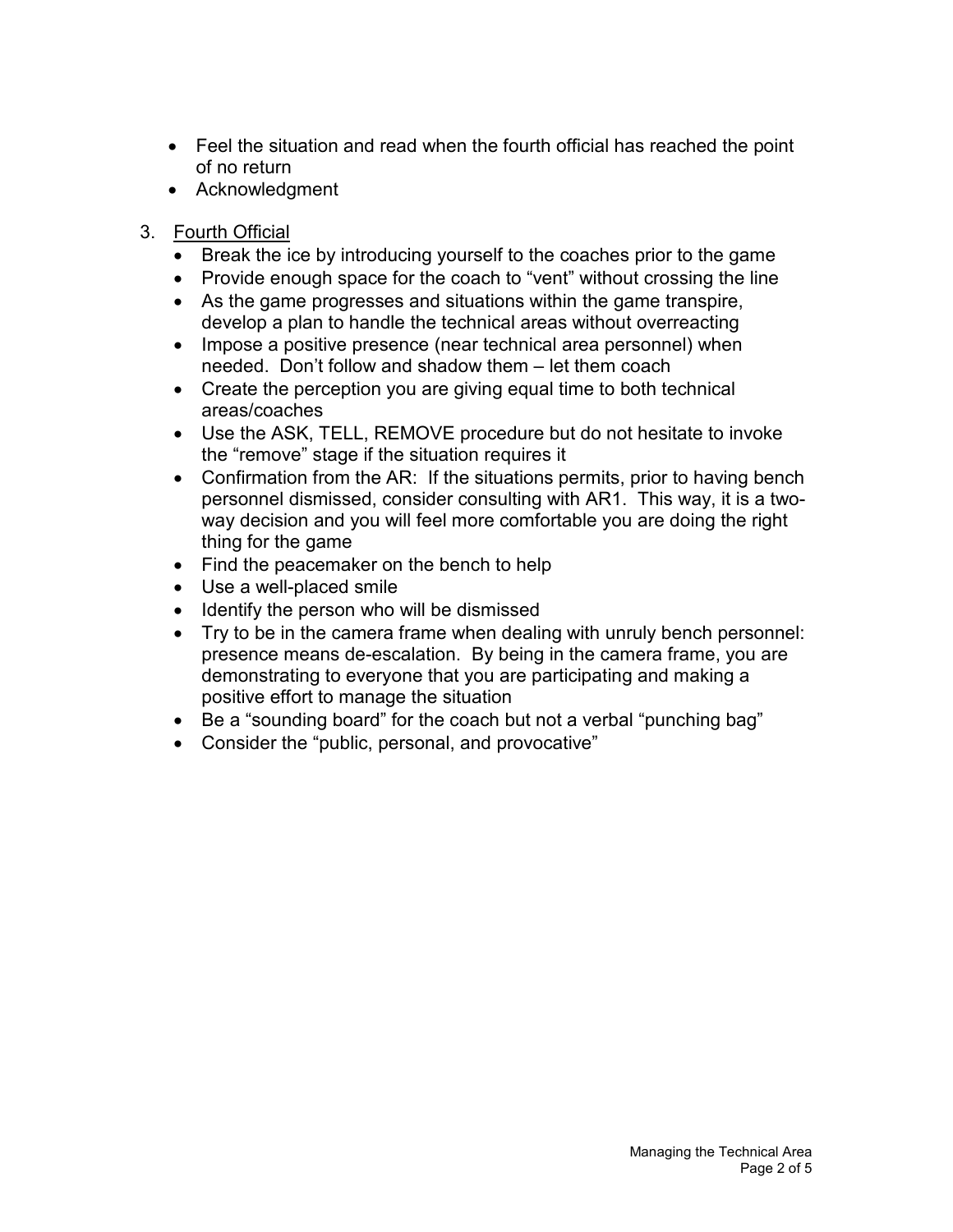- Feel the situation and read when the fourth official has reached the point of no return
- Acknowledgment
- 3. Fourth Official
	- Break the ice by introducing yourself to the coaches prior to the game
	- Provide enough space for the coach to "vent" without crossing the line
	- As the game progresses and situations within the game transpire, develop a plan to handle the technical areas without overreacting
	- Impose a positive presence (near technical area personnel) when needed. Don't follow and shadow them – let them coach
	- Create the perception you are giving equal time to both technical areas/coaches
	- Use the ASK, TELL, REMOVE procedure but do not hesitate to invoke the "remove" stage if the situation requires it
	- Confirmation from the AR: If the situations permits, prior to having bench personnel dismissed, consider consulting with AR1. This way, it is a twoway decision and you will feel more comfortable you are doing the right thing for the game
	- Find the peacemaker on the bench to help
	- Use a well-placed smile
	- Identify the person who will be dismissed
	- Try to be in the camera frame when dealing with unruly bench personnel: presence means de-escalation. By being in the camera frame, you are demonstrating to everyone that you are participating and making a positive effort to manage the situation
	- Be a "sounding board" for the coach but not a verbal "punching bag"
	- Consider the "public, personal, and provocative"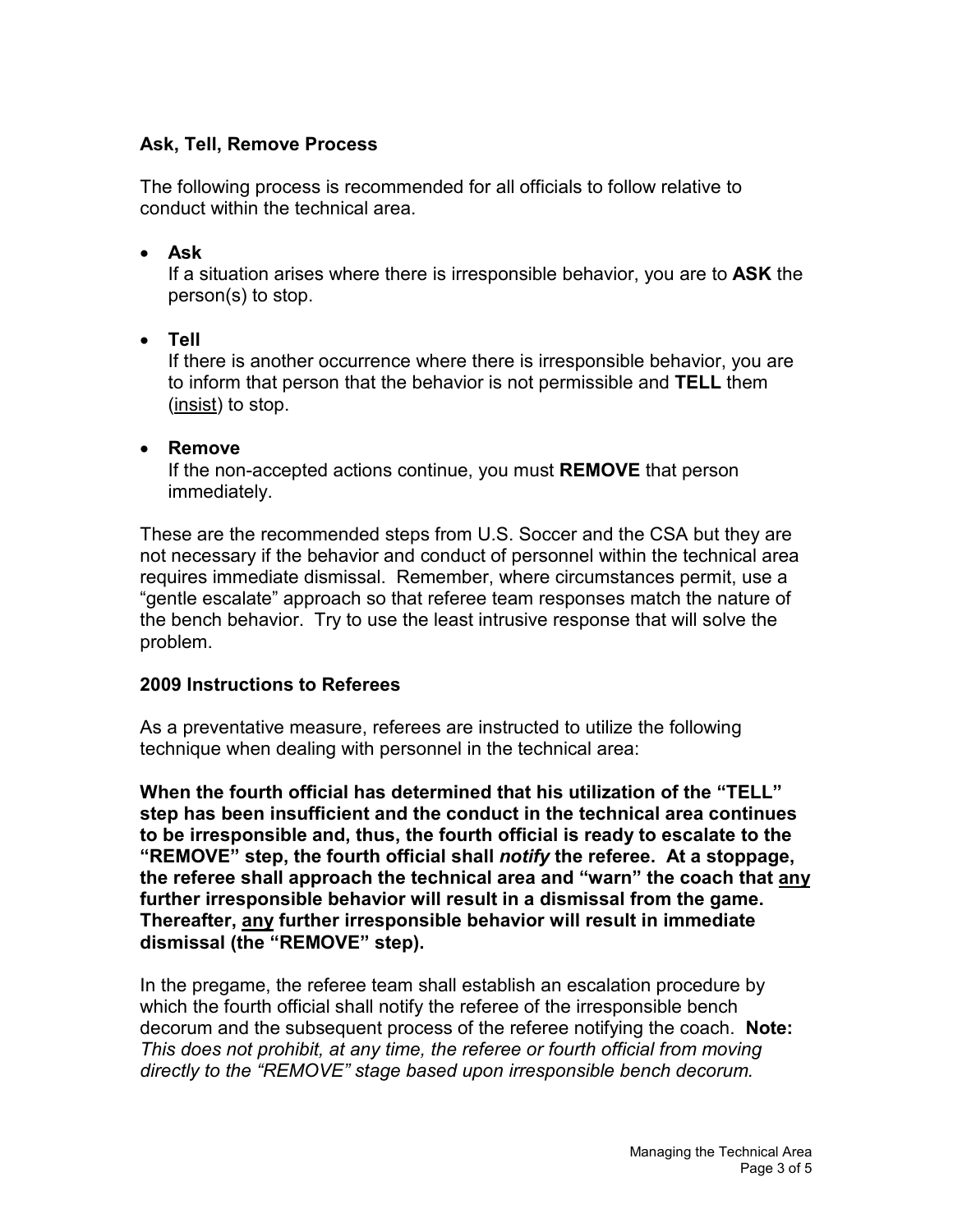## Ask, Tell, Remove Process

The following process is recommended for all officials to follow relative to conduct within the technical area.

#### • Ask

If a situation arises where there is irresponsible behavior, you are to ASK the person(s) to stop.

### • Tell

If there is another occurrence where there is irresponsible behavior, you are to inform that person that the behavior is not permissible and TELL them (insist) to stop.

#### • Remove

If the non-accepted actions continue, you must REMOVE that person immediately.

These are the recommended steps from U.S. Soccer and the CSA but they are not necessary if the behavior and conduct of personnel within the technical area requires immediate dismissal. Remember, where circumstances permit, use a "gentle escalate" approach so that referee team responses match the nature of the bench behavior. Try to use the least intrusive response that will solve the problem.

#### 2009 Instructions to Referees

As a preventative measure, referees are instructed to utilize the following technique when dealing with personnel in the technical area:

When the fourth official has determined that his utilization of the "TELL" step has been insufficient and the conduct in the technical area continues to be irresponsible and, thus, the fourth official is ready to escalate to the "REMOVE" step, the fourth official shall notify the referee. At a stoppage, the referee shall approach the technical area and "warn" the coach that any further irresponsible behavior will result in a dismissal from the game. Thereafter, any further irresponsible behavior will result in immediate dismissal (the "REMOVE" step).

In the pregame, the referee team shall establish an escalation procedure by which the fourth official shall notify the referee of the irresponsible bench decorum and the subsequent process of the referee notifying the coach. Note: This does not prohibit, at any time, the referee or fourth official from moving directly to the "REMOVE" stage based upon irresponsible bench decorum.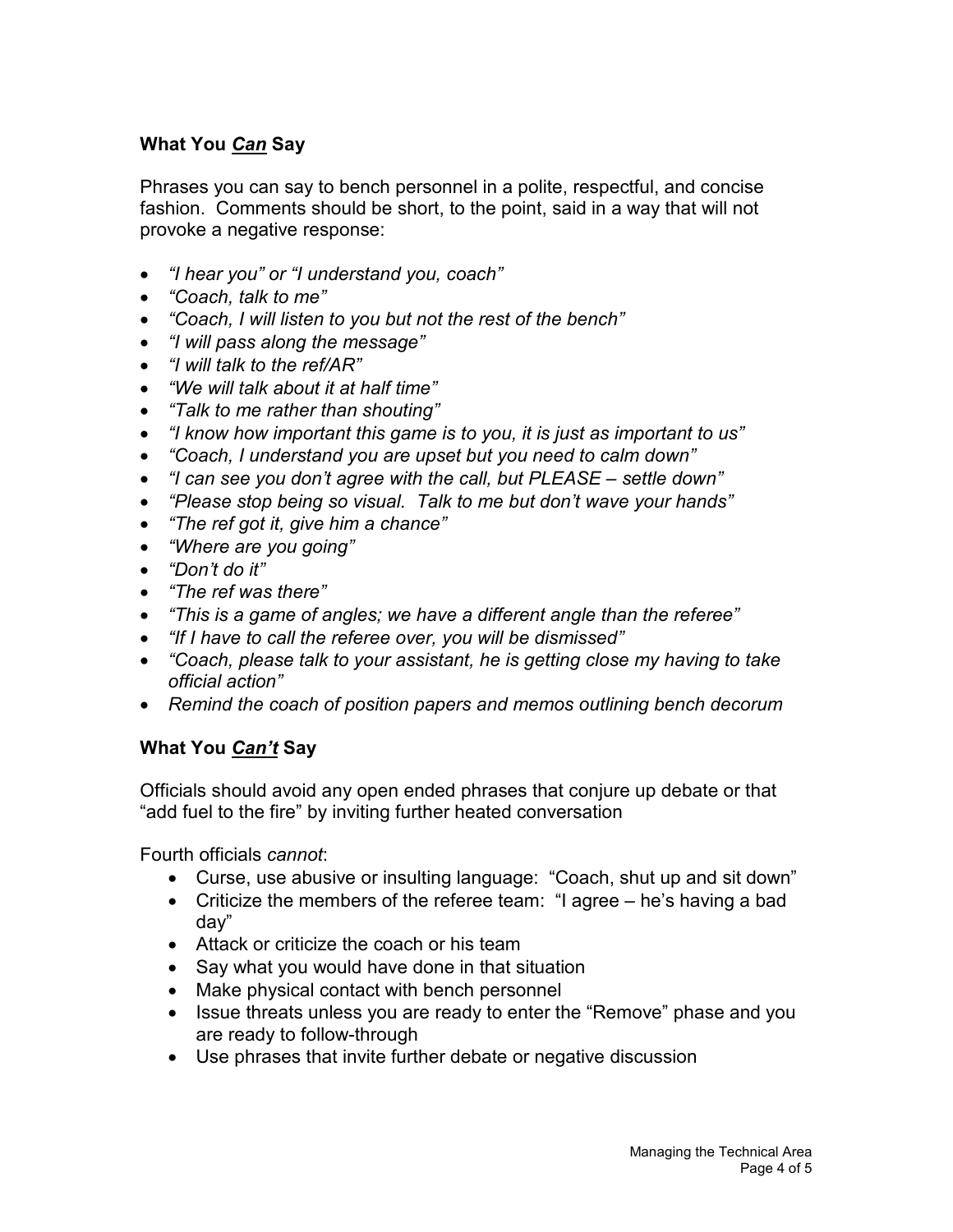# What You Can Say

Phrases you can say to bench personnel in a polite, respectful, and concise fashion. Comments should be short, to the point, said in a way that will not provoke a negative response:

- "I hear you" or "I understand you, coach"
- "Coach, talk to me"
- "Coach, I will listen to you but not the rest of the bench"
- "I will pass along the message"
- "I will talk to the ref/AR"
- "We will talk about it at half time"
- "Talk to me rather than shouting"
- "I know how important this game is to you, it is just as important to us"
- "Coach, I understand you are upset but you need to calm down"
- "I can see you don't agree with the call, but PLEASE settle down"
- "Please stop being so visual. Talk to me but don't wave your hands"
- "The ref got it, give him a chance"
- "Where are you going"
- "Don't do it"
- "The ref was there"
- "This is a game of angles; we have a different angle than the referee"
- "If I have to call the referee over, you will be dismissed"
- "Coach, please talk to your assistant, he is getting close my having to take official action"
- Remind the coach of position papers and memos outlining bench decorum

#### What You Can't Say

Officials should avoid any open ended phrases that conjure up debate or that "add fuel to the fire" by inviting further heated conversation

Fourth officials cannot:

- Curse, use abusive or insulting language: "Coach, shut up and sit down"
- Criticize the members of the referee team: "I agree he's having a bad day"
- Attack or criticize the coach or his team
- Say what you would have done in that situation
- Make physical contact with bench personnel
- Issue threats unless you are ready to enter the "Remove" phase and you are ready to follow-through
- Use phrases that invite further debate or negative discussion